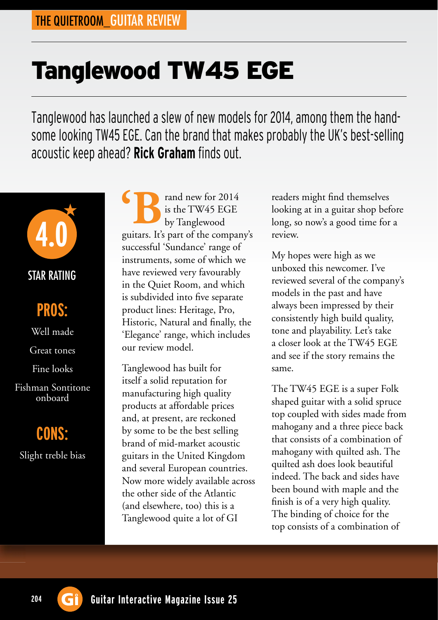# Tanglewood TW45 EGE

Tanglewood has launched a slew of new models for 2014, among them the handsome looking TW45 EGE. Can the brand that makes probably the UK's best-selling acoustic keep ahead? **Rick Graham** finds out.



#### STAR RATING

**PROS:** Well made Great tones Fine looks Fishman Sontitone onboard

**CONS:** Slight treble bias

rand new for 2014 is the TW45 EGE by Tanglewood guitars. It's part of the company's successful 'Sundance' range of instruments, some of which we have reviewed very favourably in the Quiet Room, and which is subdivided into five separate product lines: Heritage, Pro, Historic, Natural and finally, the 'Elegance' range, which includes our review model. **'B**

Tanglewood has built for itself a solid reputation for manufacturing high quality products at affordable prices and, at present, are reckoned by some to be the best selling brand of mid-market acoustic guitars in the United Kingdom and several European countries. Now more widely available across the other side of the Atlantic (and elsewhere, too) this is a Tanglewood quite a lot of GI

readers might find themselves looking at in a guitar shop before long, so now's a good time for a review.

My hopes were high as we unboxed this newcomer. I've reviewed several of the company's models in the past and have always been impressed by their consistently high build quality, tone and playability. Let's take a closer look at the TW45 EGE and see if the story remains the same.

The TW45 EGE is a super Folk shaped guitar with a solid spruce top coupled with sides made from mahogany and a three piece back that consists of a combination of mahogany with quilted ash. The quilted ash does look beautiful indeed. The back and sides have been bound with maple and the finish is of a very high quality. The binding of choice for the top consists of a combination of

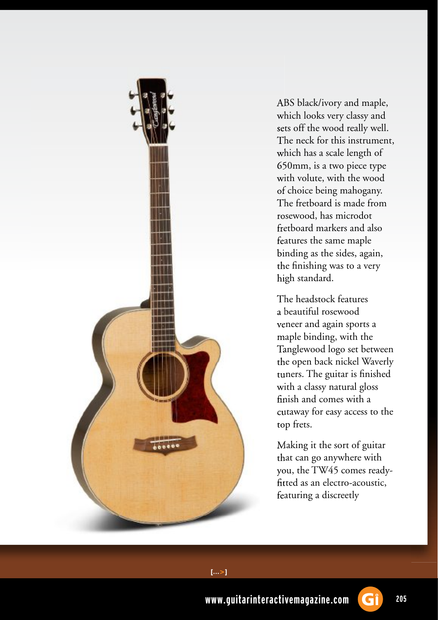

ABS black/ivory and maple, which looks very classy and sets off the wood really well. The neck for this instrument, which has a scale length of 650mm, is a two piece type with volute, with the wood of choice being mahogany. The fretboard is made from rosewood, has microdot fretboard markers and also features the same maple binding as the sides, again, the finishing was to a very high standard.

The headstock features a beautiful rosewood veneer and again sports a maple binding, with the Tanglewood logo set between the open back nickel Waverly tuners. The guitar is finished with a classy natural gloss finish and comes with a cutaway for easy access to the top frets. The fretboard is made from<br>rosewood, has microdot<br>fretboard markers and also<br>features the same maple<br>binding as the sides, again,<br>the finishing was to a very<br>high standard.<br>The headstock features<br>a beautiful rosewood<br>venee

Making it the sort of guitar that can go anywhere with you, the TW45 comes readyfitted as an electro-acoustic, featuring a discreetly



 $[...>]$ 

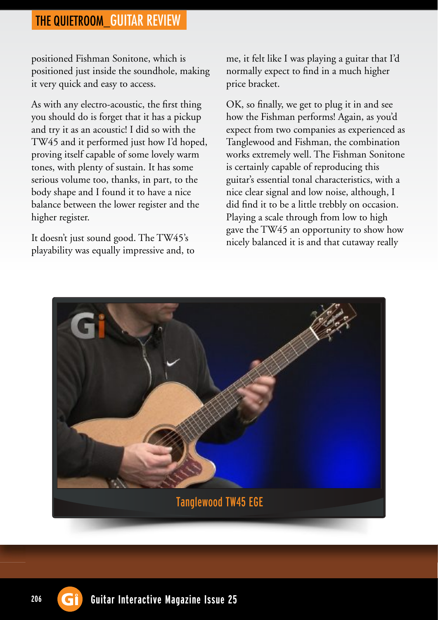### THE QUIETROOM\_GUITAR REVIEW

positioned Fishman Sonitone, which is positioned just inside the soundhole, making it very quick and easy to access.

As with any electro-acoustic, the first thing you should do is forget that it has a pickup and try it as an acoustic! I did so with the TW45 and it performed just how I'd hoped, proving itself capable of some lovely warm tones, with plenty of sustain. It has some serious volume too, thanks, in part, to the body shape and I found it to have a nice balance between the lower register and the higher register.

It doesn't just sound good. The TW45's playability was equally impressive and, to me, it felt like I was playing a guitar that I'd normally expect to find in a much higher price bracket.

OK, so finally, we get to plug it in and see how the Fishman performs! Again, as you'd expect from two companies as experienced as Tanglewood and Fishman, the combination works extremely well. The Fishman Sonitone is certainly capable of reproducing this guitar's essential tonal characteristics, with a nice clear signal and low noise, although, I did find it to be a little trebbly on occasion. Playing a scale through from low to high gave the TW45 an opportunity to show how nicely balanced it is and that cutaway really





**206 G**<sup> $\bullet$ </sup> Guitar Interactive Magazine Issue 25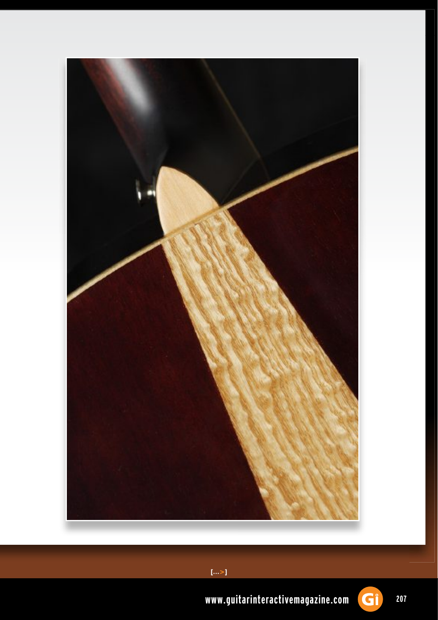



**www.guitarinteractivemagazine.com 207**

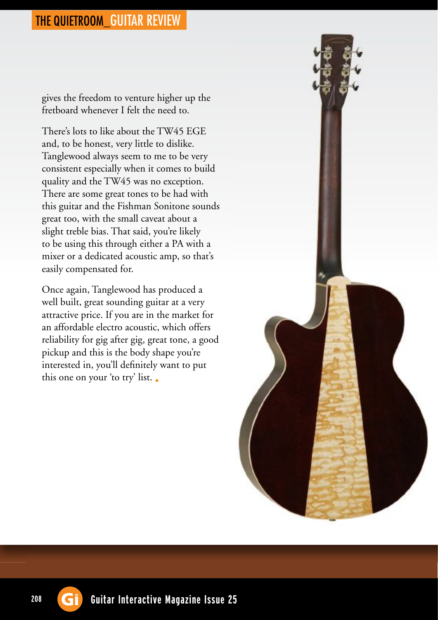## THE QUIETROOM\_GUITAR REVIEW

gives the freedom to venture higher up the fretboard whenever I felt the need to.

There's lots to like about the TW45 EGE and, to be honest, very little to dislike. Tanglewood always seem to me to be very consistent especially when it comes to build quality and the TW45 was no exception. There are some great tones to be had with this guitar and the Fishman Sonitone sounds great too, with the small caveat about a slight treble bias. That said, you're likely to be using this through either a PA with a mixer or a dedicated acoustic amp, so that's easily compensated for.

Once again, Tanglewood has produced a well built, great sounding guitar at a very attractive price. If you are in the market for an affordable electro acoustic, which offers reliability for gig after gig, great tone, a good pickup and this is the body shape you're interested in, you'll definitely want to put this one on your 'to try' list...